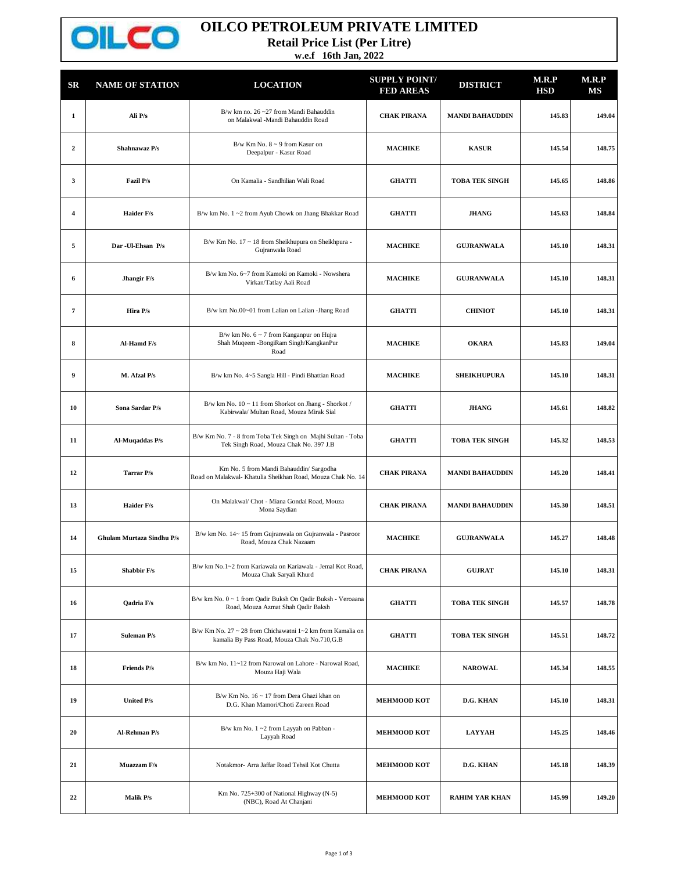

## **OILCO PETROLEUM PRIVATE LIMITED**

**Retail Price List (Per Litre)**

**w.e.f 16th Jan, 2022**

| $_{\rm SR}$    | <b>NAME OF STATION</b>    | <b>LOCATION</b>                                                                                            | <b>SUPPLY POINT/</b><br><b>FED AREAS</b> | <b>DISTRICT</b>        | M.R.P<br><b>HSD</b> | M.R.P<br>MS |
|----------------|---------------------------|------------------------------------------------------------------------------------------------------------|------------------------------------------|------------------------|---------------------|-------------|
| 1              | Ali P/s                   | B/w km no. 26~27 from Mandi Bahauddin<br>on Malakwal -Mandi Bahauddin Road                                 | <b>CHAK PIRANA</b>                       | <b>MANDI BAHAUDDIN</b> | 145.83              | 149.04      |
| $\overline{2}$ | Shahnawaz P/s             | B/w Km No. $8 \sim 9$ from Kasur on<br>Deepalpur - Kasur Road                                              | <b>MACHIKE</b>                           | <b>KASUR</b>           | 145.54              | 148.75      |
| 3              | Fazil P/s                 | On Kamalia - Sandhilian Wali Road                                                                          | <b>GHATTI</b>                            | <b>TOBA TEK SINGH</b>  | 145.65              | 148.86      |
| 4              | <b>Haider F/s</b>         | B/w km No. 1~2 from Ayub Chowk on Jhang Bhakkar Road                                                       | <b>GHATTI</b>                            | <b>JHANG</b>           | 145.63              | 148.84      |
| 5              | Dar - Ul-Ehsan P/s        | B/w Km No. 17 ~ 18 from Sheikhupura on Sheikhpura -<br>Gujranwala Road                                     | <b>MACHIKE</b>                           | <b>GUJRANWALA</b>      | 145.10              | 148.31      |
| 6              | Jhangir F/s               | B/w km No. 6~7 from Kamoki on Kamoki - Nowshera<br>Virkan/Tatlay Aali Road                                 | <b>MACHIKE</b>                           | <b>GUJRANWALA</b>      | 145.10              | 148.31      |
| $\pmb{7}$      | Hira P/s                  | B/w km No.00~01 from Lalian on Lalian -Jhang Road                                                          | <b>GHATTI</b>                            | <b>CHINIOT</b>         | 145.10              | 148.31      |
| 8              | Al-Hamd F/s               | B/w km No. $6 \sim 7$ from Kanganpur on Hujra<br>Shah Muqeem - BongiRam Singh/KangkanPur<br>Road           | <b>MACHIKE</b>                           | <b>OKARA</b>           | 145.83              | 149.04      |
| 9              | M. Afzal P/s              | B/w km No. 4~5 Sangla Hill - Pindi Bhattian Road                                                           | <b>MACHIKE</b>                           | <b>SHEIKHUPURA</b>     | 145.10              | 148.31      |
| 10             | Sona Sardar P/s           | B/w km No. 10 ~ 11 from Shorkot on Jhang - Shorkot /<br>Kabirwala/ Multan Road, Mouza Mirak Sial           | <b>GHATTI</b>                            | <b>JHANG</b>           | 145.61              | 148.82      |
| 11             | Al-Muqaddas P/s           | B/w Km No. 7 - 8 from Toba Tek Singh on Majhi Sultan - Toba<br>Tek Singh Road, Mouza Chak No. 397 J.B      | <b>GHATTI</b>                            | <b>TOBA TEK SINGH</b>  | 145.32              | 148.53      |
| 12             | Tarrar P/s                | Km No. 5 from Mandi Bahauddin/ Sargodha<br>Road on Malakwal- Khatulia Sheikhan Road, Mouza Chak No. 14     | <b>CHAK PIRANA</b>                       | <b>MANDI BAHAUDDIN</b> | 145.20              | 148.41      |
| 13             | <b>Haider F/s</b>         | On Malakwal/ Chot - Miana Gondal Road, Mouza<br>Mona Saydian                                               | <b>CHAK PIRANA</b>                       | <b>MANDI BAHAUDDIN</b> | 145.30              | 148.51      |
| 14             | Ghulam Murtaza Sindhu P/s | B/w km No. 14~15 from Gujranwala on Gujranwala - Pasroor<br>Road, Mouza Chak Nazaam                        | <b>MACHIKE</b>                           | <b>GUJRANWALA</b>      | 145.27              | 148.48      |
| 15             | Shabbir F/s               | B/w km No.1~2 from Kariawala on Kariawala - Jemal Kot Road,<br>Mouza Chak Saryali Khurd                    | <b>CHAK PIRANA</b>                       | <b>GUJRAT</b>          | 145.10              | 148.31      |
| 16             | Qadria F/s                | B/w km No. 0 ~ 1 from Qadir Buksh On Qadir Buksh - Veroaana<br>Road, Mouza Azmat Shah Qadir Baksh          | <b>GHATTI</b>                            | <b>TOBA TEK SINGH</b>  | 145.57              | 148.78      |
| 17             | <b>Suleman P/s</b>        | B/w Km No. 27 ~ 28 from Chichawatni 1~2 km from Kamalia on<br>kamalia By Pass Road, Mouza Chak No.710, G.B | <b>GHATTI</b>                            | <b>TOBA TEK SINGH</b>  | 145.51              | 148.72      |
| 18             | <b>Friends P/s</b>        | B/w km No. 11~12 from Narowal on Lahore - Narowal Road,<br>Mouza Haji Wala                                 | <b>MACHIKE</b>                           | <b>NAROWAL</b>         | 145.34              | 148.55      |
| 19             | United P/s                | B/w Km No. 16 ~ 17 from Dera Ghazi khan on<br>D.G. Khan Mamori/Choti Zareen Road                           | <b>MEHMOOD KOT</b>                       | D.G. KHAN              | 145.10              | 148.31      |
| 20             | <b>Al-Rehman P/s</b>      | B/w km No. 1~2 from Layyah on Pabban -<br>Layyah Road                                                      | <b>MEHMOOD KOT</b>                       | <b>LAYYAH</b>          | 145.25              | 148.46      |
| 21             | Muazzam F/s               | Notakmor- Arra Jaffar Road Tehsil Kot Chutta                                                               | <b>MEHMOOD KOT</b>                       | D.G. KHAN              | 145.18              | 148.39      |
| 22             | Malik P/s                 | Km No. 725+300 of National Highway (N-5)<br>(NBC), Road At Chanjani                                        | <b>MEHMOOD KOT</b>                       | <b>RAHIM YAR KHAN</b>  | 145.99              | 149.20      |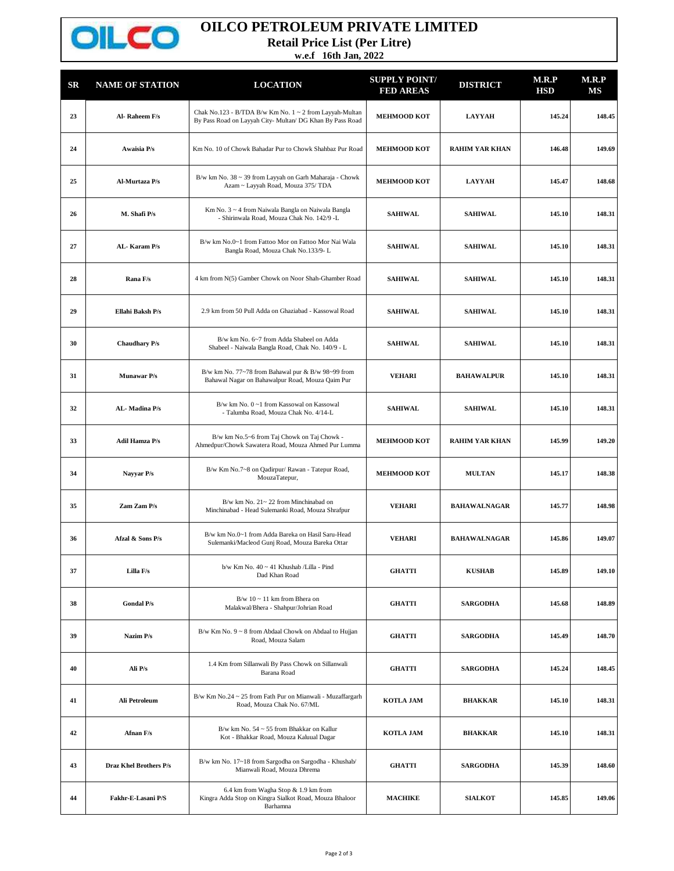

## **OILCO PETROLEUM PRIVATE LIMITED**

**Retail Price List (Per Litre)**

**w.e.f 16th Jan, 2022**

| <b>SR</b> | <b>NAME OF STATION</b> | <b>LOCATION</b>                                                                                                      | <b>SUPPLY POINT/</b><br><b>FED AREAS</b> | <b>DISTRICT</b>       | M.R.P<br><b>HSD</b> | M.R.P<br>MS |
|-----------|------------------------|----------------------------------------------------------------------------------------------------------------------|------------------------------------------|-----------------------|---------------------|-------------|
| 23        | Al-Raheem F/s          | Chak No.123 - B/TDA B/w Km No. 1 ~ 2 from Layyah-Multan<br>By Pass Road on Layyah City- Multan/ DG Khan By Pass Road | <b>MEHMOOD KOT</b>                       | <b>LAYYAH</b>         | 145.24              | 148.45      |
| 24        | Awaisia P/s            | Km No. 10 of Chowk Bahadar Pur to Chowk Shahbaz Pur Road                                                             | <b>MEHMOOD KOT</b>                       | <b>RAHIM YAR KHAN</b> | 146.48              | 149.69      |
| 25        | Al-Murtaza P/s         | B/w km No. 38 ~ 39 from Layyah on Garh Maharaja - Chowk<br>Azam ~ Layyah Road, Mouza 375/ TDA                        | <b>MEHMOOD KOT</b>                       | <b>LAYYAH</b>         | 145.47              | 148.68      |
| 26        | M. Shafi P/s           | Km No. 3 ~ 4 from Naiwala Bangla on Naiwala Bangla<br>- Shirinwala Road, Mouza Chak No. 142/9 -L                     | <b>SAHIWAL</b>                           | <b>SAHIWAL</b>        | 145.10              | 148.31      |
| 27        | AL-Karam P/s           | B/w km No.0~1 from Fattoo Mor on Fattoo Mor Nai Wala<br>Bangla Road, Mouza Chak No.133/9-L                           | <b>SAHIWAL</b>                           | <b>SAHIWAL</b>        | 145.10              | 148.31      |
| 28        | Rana F/s               | 4 km from N(5) Gamber Chowk on Noor Shah-Ghamber Road                                                                | <b>SAHIWAL</b>                           | <b>SAHIWAL</b>        | 145.10              | 148.31      |
| 29        | Ellahi Baksh P/s       | 2.9 km from 50 Pull Adda on Ghaziabad - Kassowal Road                                                                | <b>SAHIWAL</b>                           | <b>SAHIWAL</b>        | 145.10              | 148.31      |
| 30        | <b>Chaudhary P/s</b>   | B/w km No. 6~7 from Adda Shabeel on Adda<br>Shabeel - Naiwala Bangla Road, Chak No. 140/9 - L                        | <b>SAHIWAL</b>                           | <b>SAHIWAL</b>        | 145.10              | 148.31      |
| 31        | Munawar P/s            | B/w km No. 77~78 from Bahawal pur & B/w 98~99 from<br>Bahawal Nagar on Bahawalpur Road, Mouza Qaim Pur               | <b>VEHARI</b>                            | <b>BAHAWALPUR</b>     | 145.10              | 148.31      |
| 32        | AL-Madina P/s          | B/w km No. 0~1 from Kassowal on Kassowal<br>- Talumba Road, Mouza Chak No. 4/14-L                                    | <b>SAHIWAL</b>                           | <b>SAHIWAL</b>        | 145.10              | 148.31      |
| 33        | <b>Adil Hamza P/s</b>  | B/w km No.5~6 from Taj Chowk on Taj Chowk -<br>Ahmedpur/Chowk Sawatera Road, Mouza Ahmed Pur Lumma                   | <b>MEHMOOD KOT</b>                       | <b>RAHIM YAR KHAN</b> | 145.99              | 149.20      |
| 34        | Nayyar P/s             | B/w Km No.7~8 on Qadirpur/ Rawan - Tatepur Road,<br>MouzaTatepur,                                                    | <b>MEHMOOD KOT</b>                       | <b>MULTAN</b>         | 145.17              | 148.38      |
| 35        | Zam Zam P/s            | B/w km No. 21~22 from Minchinabad on<br>Minchinabad - Head Sulemanki Road, Mouza Shrafpur                            | <b>VEHARI</b>                            | <b>BAHAWALNAGAR</b>   | 145.77              | 148.98      |
| 36        | Afzal & Sons P/s       | B/w km No.0~1 from Adda Bareka on Hasil Saru-Head<br>Sulemanki/Macleod Gunj Road, Mouza Bareka Ottar                 | <b>VEHARI</b>                            | <b>BAHAWALNAGAR</b>   | 145.86              | 149.07      |
| 37        | Lilla F/s              | $b/w$ Km No. $40 \sim 41$ Khushab /Lilla - Pind<br>Dad Khan Road                                                     | <b>GHATTI</b>                            | <b>KUSHAB</b>         | 145.89              | 149.10      |
| 38        | <b>Gondal P/s</b>      | B/w $10 \sim 11$ km from Bhera on<br>Malakwal/Bhera - Shahpur/Johrian Road                                           | <b>GHATTI</b>                            | <b>SARGODHA</b>       | 145.68              | 148.89      |
| 39        | Nazim P/s              | B/w Km No. 9 ~ 8 from Abdaal Chowk on Abdaal to Hujjan<br>Road, Mouza Salam                                          | <b>GHATTI</b>                            | <b>SARGODHA</b>       | 145.49              | 148.70      |
| 40        | Ali P/s                | 1.4 Km from Sillanwali By Pass Chowk on Sillanwali<br>Barana Road                                                    | <b>GHATTI</b>                            | <b>SARGODHA</b>       | 145.24              | 148.45      |
| 41        | Ali Petroleum          | B/w Km No.24 ~ 25 from Fath Pur on Mianwali - Muzaffargarh<br>Road, Mouza Chak No. 67/ML                             | <b>KOTLA JAM</b>                         | <b>BHAKKAR</b>        | 145.10              | 148.31      |
| 42        | Afnan F/s              | B/w km No. 54 ~ 55 from Bhakkar on Kallur<br>Kot - Bhakkar Road, Mouza Kaluual Dagar                                 | <b>KOTLA JAM</b>                         | <b>BHAKKAR</b>        | 145.10              | 148.31      |
| 43        | Draz Khel Brothers P/s | B/w km No. 17~18 from Sargodha on Sargodha - Khushab/<br>Mianwali Road, Mouza Dhrema                                 | <b>GHATTI</b>                            | <b>SARGODHA</b>       | 145.39              | 148.60      |
| 44        | Fakhr-E-Lasani P/S     | 6.4 km from Wagha Stop & 1.9 km from<br>Kingra Adda Stop on Kingra Sialkot Road, Mouza Bhaloor<br>Barhamna           | <b>MACHIKE</b>                           | <b>SIALKOT</b>        | 145.85              | 149.06      |